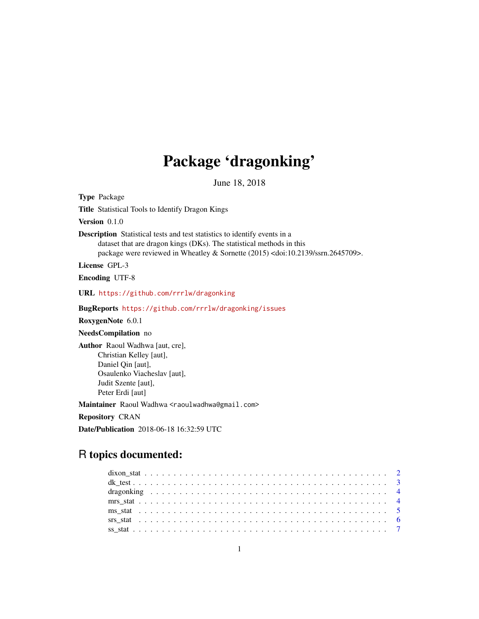## Package 'dragonking'

June 18, 2018

Type Package Title Statistical Tools to Identify Dragon Kings Version 0.1.0 Description Statistical tests and test statistics to identify events in a dataset that are dragon kings (DKs). The statistical methods in this package were reviewed in Wheatley & Sornette (2015) <doi:10.2139/ssrn.2645709>. License GPL-3 Encoding UTF-8 URL <https://github.com/rrrlw/dragonking> BugReports <https://github.com/rrrlw/dragonking/issues> RoxygenNote 6.0.1 NeedsCompilation no Author Raoul Wadhwa [aut, cre], Christian Kelley [aut], Daniel Qin [aut], Osaulenko Viacheslav [aut], Judit Szente [aut], Peter Erdi [aut] Maintainer Raoul Wadhwa <raoulwadhwa@gmail.com> Repository CRAN

Date/Publication 2018-06-18 16:32:59 UTC

### R topics documented: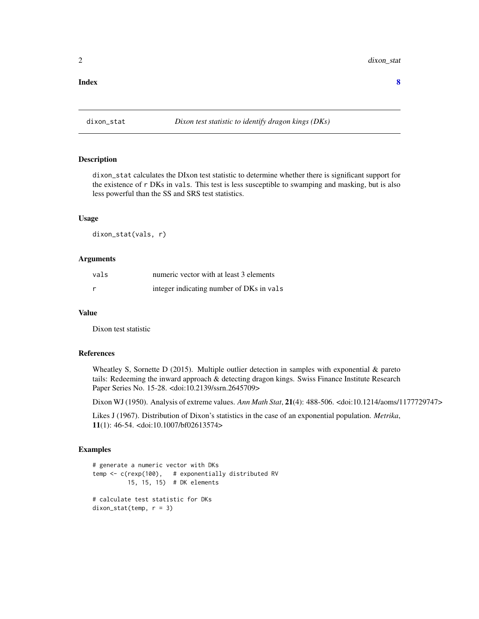#### <span id="page-1-0"></span>**Index** [8](#page-7-0) **8**

#### Description

dixon\_stat calculates the DIxon test statistic to determine whether there is significant support for the existence of r DKs in vals. This test is less susceptible to swamping and masking, but is also less powerful than the SS and SRS test statistics.

#### Usage

dixon\_stat(vals, r)

#### Arguments

| vals | numeric vector with at least 3 elements  |
|------|------------------------------------------|
|      | integer indicating number of DKs in vals |

#### Value

Dixon test statistic

#### References

Wheatley S, Sornette D (2015). Multiple outlier detection in samples with exponential & pareto tails: Redeeming the inward approach & detecting dragon kings. Swiss Finance Institute Research Paper Series No. 15-28. <doi:10.2139/ssrn.2645709>

Dixon WJ (1950). Analysis of extreme values. *Ann Math Stat*, 21(4): 488-506. <doi:10.1214/aoms/1177729747>

Likes J (1967). Distribution of Dixon's statistics in the case of an exponential population. *Metrika*, 11(1): 46-54. <doi:10.1007/bf02613574>

```
# generate a numeric vector with DKs
temp <- c(rexp(100), # exponentially distributed RV
         15, 15, 15) # DK elements
# calculate test statistic for DKs
dixon\_stat(temp, r = 3)
```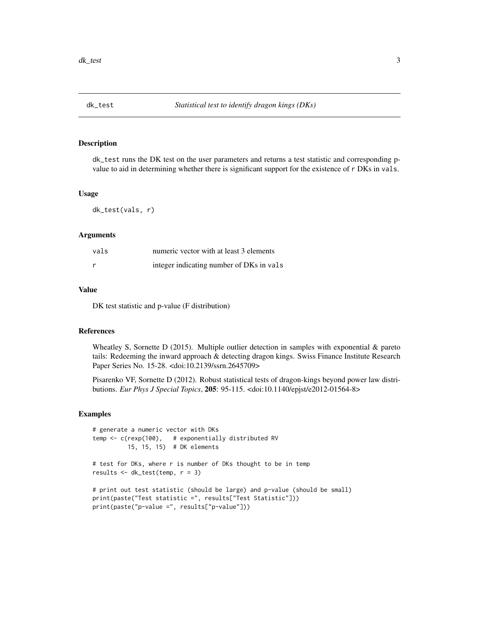<span id="page-2-0"></span>

dk\_test runs the DK test on the user parameters and returns a test statistic and corresponding pvalue to aid in determining whether there is significant support for the existence of r DKs in vals.

#### Usage

dk\_test(vals, r)

#### Arguments

| vals | numeric vector with at least 3 elements  |
|------|------------------------------------------|
|      | integer indicating number of DKs in vals |

#### Value

DK test statistic and p-value (F distribution)

#### References

Wheatley S, Sornette D (2015). Multiple outlier detection in samples with exponential  $\&$  pareto tails: Redeeming the inward approach & detecting dragon kings. Swiss Finance Institute Research Paper Series No. 15-28. <doi:10.2139/ssrn.2645709>

Pisarenko VF, Sornette D (2012). Robust statistical tests of dragon-kings beyond power law distributions. *Eur Phys J Special Topics*, 205: 95-115. <doi:10.1140/epjst/e2012-01564-8>

```
# generate a numeric vector with DKs
temp <- c(rexp(100), # exponentially distributed RV
          15, 15, 15) # DK elements
# test for DKs, where r is number of DKs thought to be in temp
results <- dk_test(temp, r = 3)
# print out test statistic (should be large) and p-value (should be small)
print(paste("Test statistic =", results["Test Statistic"]))
print(paste("p-value =", results["p-value"]))
```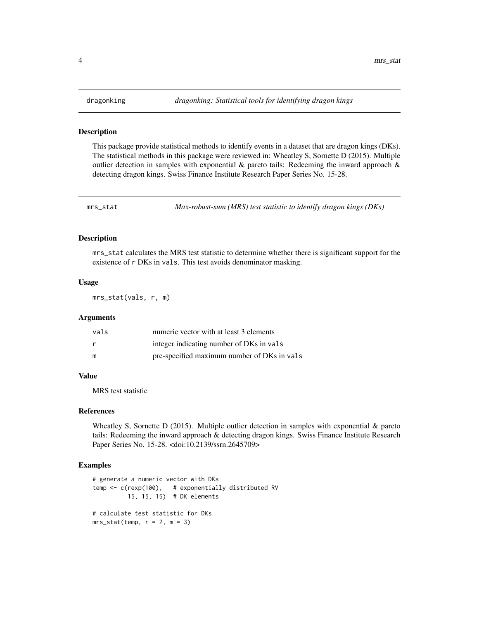<span id="page-3-0"></span>

This package provide statistical methods to identify events in a dataset that are dragon kings (DKs). The statistical methods in this package were reviewed in: Wheatley S, Sornette D (2015). Multiple outlier detection in samples with exponential  $\&$  pareto tails: Redeeming the inward approach  $\&$ detecting dragon kings. Swiss Finance Institute Research Paper Series No. 15-28.

mrs\_stat *Max-robust-sum (MRS) test statistic to identify dragon kings (DKs)*

#### Description

mrs\_stat calculates the MRS test statistic to determine whether there is significant support for the existence of r DKs in vals. This test avoids denominator masking.

#### Usage

mrs\_stat(vals, r, m)

#### Arguments

| vals         | numeric vector with at least 3 elements     |
|--------------|---------------------------------------------|
| <sub>r</sub> | integer indicating number of DKs in vals    |
| m            | pre-specified maximum number of DKs in vals |

#### Value

MRS test statistic

#### References

Wheatley S, Sornette D (2015). Multiple outlier detection in samples with exponential & pareto tails: Redeeming the inward approach & detecting dragon kings. Swiss Finance Institute Research Paper Series No. 15-28. <doi:10.2139/ssrn.2645709>

```
# generate a numeric vector with DKs
temp <- c(rexp(100), # exponentially distributed RV
         15, 15, 15) # DK elements
# calculate test statistic for DKs
mrs\_stat(temp, r = 2, m = 3)
```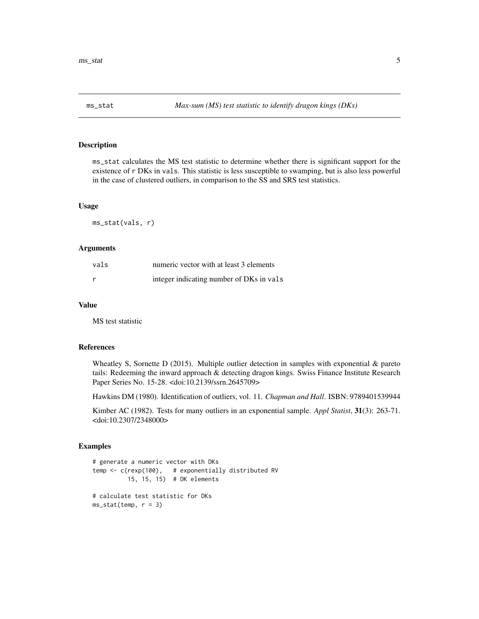<span id="page-4-0"></span>

ms\_stat calculates the MS test statistic to determine whether there is significant support for the existence of r DKs in vals. This statistic is less susceptible to swamping, but is also less powerful in the case of clustered outliers, in comparison to the SS and SRS test statistics.

#### Usage

ms\_stat(vals, r)

#### Arguments

| vals | numeric vector with at least 3 elements  |
|------|------------------------------------------|
| r    | integer indicating number of DKs in vals |

#### Value

MS test statistic

#### References

Wheatley S, Sornette D (2015). Multiple outlier detection in samples with exponential  $\&$  pareto tails: Redeeming the inward approach & detecting dragon kings. Swiss Finance Institute Research Paper Series No. 15-28. <doi:10.2139/ssrn.2645709>

Hawkins DM (1980). Identification of outliers, vol. 11. *Chapman and Hall*. ISBN: 9789401539944

Kimber AC (1982). Tests for many outliers in an exponential sample. *Appl Statist*, 31(3): 263-71. <doi:10.2307/2348000>

```
# generate a numeric vector with DKs
temp <- c(rexp(100), # exponentially distributed RV
          15, 15, 15) # DK elements
# calculate test statistic for DKs
ms\_stat(temp, r = 3)
```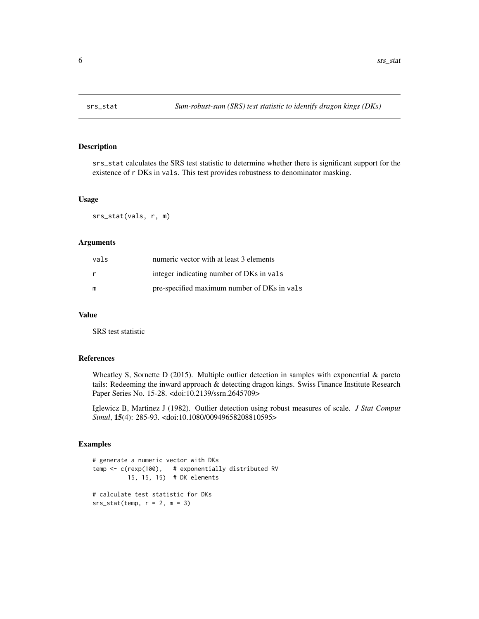<span id="page-5-0"></span>

srs\_stat calculates the SRS test statistic to determine whether there is significant support for the existence of r DKs in vals. This test provides robustness to denominator masking.

#### Usage

srs\_stat(vals, r, m)

#### Arguments

| vals | numeric vector with at least 3 elements     |
|------|---------------------------------------------|
| r    | integer indicating number of DKs in vals    |
| m    | pre-specified maximum number of DKs in vals |

#### Value

SRS test statistic

#### References

Wheatley S, Sornette D (2015). Multiple outlier detection in samples with exponential  $\&$  pareto tails: Redeeming the inward approach & detecting dragon kings. Swiss Finance Institute Research Paper Series No. 15-28. <doi:10.2139/ssrn.2645709>

Iglewicz B, Martinez J (1982). Outlier detection using robust measures of scale. *J Stat Comput Simul*, 15(4): 285-93. <doi:10.1080/00949658208810595>

```
# generate a numeric vector with DKs
temp <- c(rexp(100), # exponentially distributed RV
          15, 15, 15) # DK elements
# calculate test statistic for DKs
srs\_stat(temp, r = 2, m = 3)
```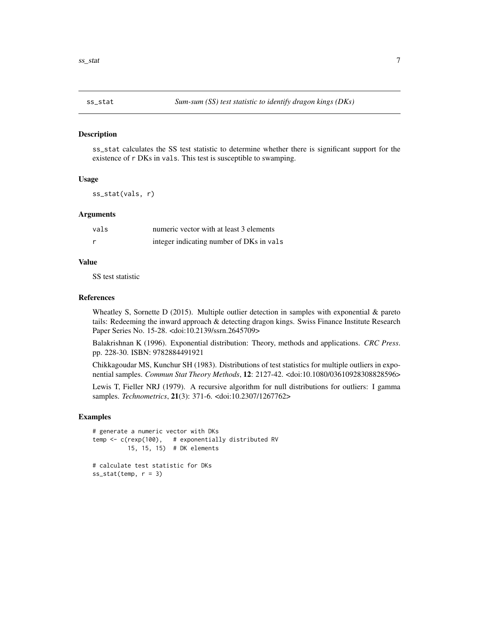<span id="page-6-0"></span>

ss\_stat calculates the SS test statistic to determine whether there is significant support for the existence of r DKs in vals. This test is susceptible to swamping.

#### Usage

ss\_stat(vals, r)

#### Arguments

| vals         | numeric vector with at least 3 elements  |
|--------------|------------------------------------------|
| <sub>r</sub> | integer indicating number of DKs in vals |

#### Value

SS test statistic

#### References

Wheatley S, Sornette D (2015). Multiple outlier detection in samples with exponential  $\&$  pareto tails: Redeeming the inward approach & detecting dragon kings. Swiss Finance Institute Research Paper Series No. 15-28. <doi:10.2139/ssrn.2645709>

Balakrishnan K (1996). Exponential distribution: Theory, methods and applications. *CRC Press*. pp. 228-30. ISBN: 9782884491921

Chikkagoudar MS, Kunchur SH (1983). Distributions of test statistics for multiple outliers in exponential samples. *Commun Stat Theory Methods*, 12: 2127-42. <doi:10.1080/03610928308828596>

Lewis T, Fieller NRJ (1979). A recursive algorithm for null distributions for outliers: I gamma samples. *Technometrics*, 21(3): 371-6. <doi:10.2307/1267762>

```
# generate a numeric vector with DKs
temp <- c(rexp(100), # exponentially distributed RV
         15, 15, 15) # DK elements
# calculate test statistic for DKs
ss\_stat(temp, r = 3)
```